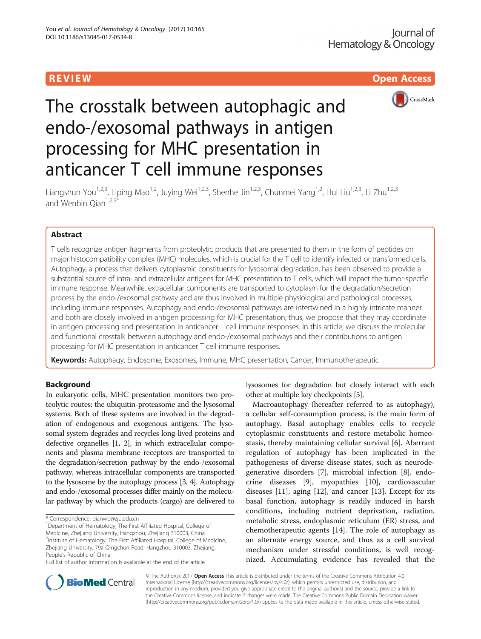**REVIEW ACCESS AND LOCAL CONTRACT CONTRACT OF ACCESS** 



# The crosstalk between autophagic and endo-/exosomal pathways in antigen processing for MHC presentation in anticancer T cell immune responses

Liangshun You<sup>1,2,3</sup>, Liping Mao<sup>1,2</sup>, Juying Wei<sup>1,2,3</sup>, Shenhe Jin<sup>1,2,3</sup>, Chunmei Yang<sup>1,2</sup>, Hui Liu<sup>1,2,3</sup>, Li Zhu<sup>1,2,3</sup> and Wenbin  $Qian^{1,2,3*}$ 

# Abstract

T cells recognize antigen fragments from proteolytic products that are presented to them in the form of peptides on major histocompatibility complex (MHC) molecules, which is crucial for the T cell to identify infected or transformed cells. Autophagy, a process that delivers cytoplasmic constituents for lysosomal degradation, has been observed to provide a substantial source of intra- and extracellular antigens for MHC presentation to T cells, which will impact the tumor-specific immune response. Meanwhile, extracellular components are transported to cytoplasm for the degradation/secretion process by the endo-/exosomal pathway and are thus involved in multiple physiological and pathological processes, including immune responses. Autophagy and endo-/exosomal pathways are intertwined in a highly intricate manner and both are closely involved in antigen processing for MHC presentation; thus, we propose that they may coordinate in antigen processing and presentation in anticancer T cell immune responses. In this article, we discuss the molecular and functional crosstalk between autophagy and endo-/exosomal pathways and their contributions to antigen processing for MHC presentation in anticancer T cell immune responses.

Keywords: Autophagy, Endosome, Exosomes, Immune, MHC presentation, Cancer, Immunotherapeutic

# Background

In eukaryotic cells, MHC presentation monitors two proteolytic routes: the ubiquitin-proteasome and the lysosomal systems. Both of these systems are involved in the degradation of endogenous and exogenous antigens. The lysosomal system degrades and recycles long-lived proteins and defective organelles [\[1, 2\]](#page-6-0), in which extracellular components and plasma membrane receptors are transported to the degradation/secretion pathway by the endo-/exosomal pathway, whereas intracellular components are transported to the lysosome by the autophagy process [[3](#page-6-0), [4\]](#page-6-0). Autophagy and endo-/exosomal processes differ mainly on the molecular pathway by which the products (cargo) are delivered to

<sup>2</sup>Institute of Hematology, The First Affiliated Hospital, College of Medicine, Zhejiang University, 79# Qingchun Road, Hangzhou 310003, Zhejiang, People's Republic of China

lysosomes for degradation but closely interact with each other at multiple key checkpoints [\[5\]](#page-6-0).

Macroautophagy (hereafter referred to as autophagy), a cellular self-consumption process, is the main form of autophagy. Basal autophagy enables cells to recycle cytoplasmic constituents and restore metabolic homeostasis, thereby maintaining cellular survival [\[6](#page-6-0)]. Aberrant regulation of autophagy has been implicated in the pathogenesis of diverse disease states, such as neurodegenerative disorders [[7\]](#page-6-0), microbial infection [[8\]](#page-6-0), endocrine diseases [\[9](#page-6-0)], myopathies [\[10\]](#page-6-0), cardiovascular diseases [\[11\]](#page-6-0), aging [[12\]](#page-6-0), and cancer [\[13](#page-6-0)]. Except for its basal function, autophagy is readily induced in harsh conditions, including nutrient deprivation, radiation, metabolic stress, endoplasmic reticulum (ER) stress, and chemotherapeutic agents [[14\]](#page-6-0). The role of autophagy as an alternate energy source, and thus as a cell survival mechanism under stressful conditions, is well recognized. Accumulating evidence has revealed that the



© The Author(s). 2017 **Open Access** This article is distributed under the terms of the Creative Commons Attribution 4.0 International License [\(http://creativecommons.org/licenses/by/4.0/](http://creativecommons.org/licenses/by/4.0/)), which permits unrestricted use, distribution, and reproduction in any medium, provided you give appropriate credit to the original author(s) and the source, provide a link to the Creative Commons license, and indicate if changes were made. The Creative Commons Public Domain Dedication waiver [\(http://creativecommons.org/publicdomain/zero/1.0/](http://creativecommons.org/publicdomain/zero/1.0/)) applies to the data made available in this article, unless otherwise stated.

<sup>\*</sup> Correspondence: [qianwb@zju.edu.cn](mailto:qianwb@zju.edu.cn) <sup>1</sup>

<sup>&</sup>lt;sup>1</sup>Department of Hematology, The First Affiliated Hospital, College of Medicine, Zhejiang University, Hangzhou, Zhejiang 310003, China

Full list of author information is available at the end of the article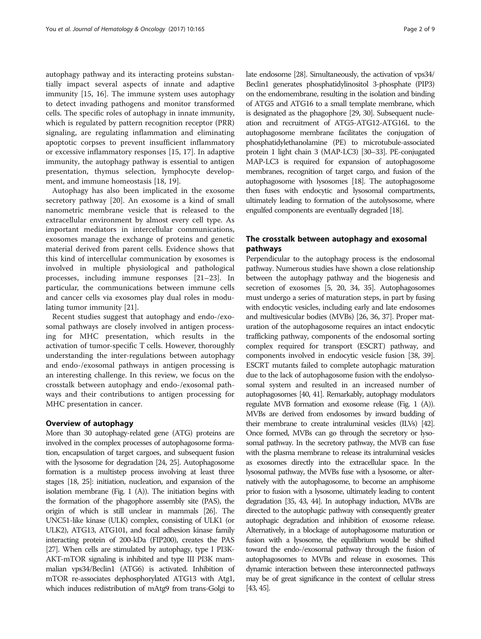autophagy pathway and its interacting proteins substantially impact several aspects of innate and adaptive immunity [\[15](#page-6-0), [16](#page-6-0)]. The immune system uses autophagy to detect invading pathogens and monitor transformed cells. The specific roles of autophagy in innate immunity, which is regulated by pattern recognition receptor (PRR) signaling, are regulating inflammation and eliminating apoptotic corpses to prevent insufficient inflammatory or excessive inflammatory responses [[15, 17\]](#page-6-0). In adaptive immunity, the autophagy pathway is essential to antigen presentation, thymus selection, lymphocyte development, and immune homeostasis [[18, 19\]](#page-6-0).

Autophagy has also been implicated in the exosome secretory pathway [\[20](#page-6-0)]. An exosome is a kind of small nanometric membrane vesicle that is released to the extracellular environment by almost every cell type. As important mediators in intercellular communications, exosomes manage the exchange of proteins and genetic material derived from parent cells. Evidence shows that this kind of intercellular communication by exosomes is involved in multiple physiological and pathological processes, including immune responses [\[21](#page-6-0)–[23\]](#page-6-0). In particular, the communications between immune cells and cancer cells via exosomes play dual roles in modulating tumor immunity [[21\]](#page-6-0).

Recent studies suggest that autophagy and endo-/exosomal pathways are closely involved in antigen processing for MHC presentation, which results in the activation of tumor-specific T cells. However, thoroughly understanding the inter-regulations between autophagy and endo-/exosomal pathways in antigen processing is an interesting challenge. In this review, we focus on the crosstalk between autophagy and endo-/exosomal pathways and their contributions to antigen processing for MHC presentation in cancer.

## Overview of autophagy

More than 30 autophagy-related gene (ATG) proteins are involved in the complex processes of autophagosome formation, encapsulation of target cargoes, and subsequent fusion with the lysosome for degradation [[24, 25](#page-6-0)]. Autophagosome formation is a multistep process involving at least three stages [\[18](#page-6-0), [25\]](#page-6-0): initiation, nucleation, and expansion of the isolation membrane (Fig. 1  $(A)$ ). The initiation begins with the formation of the phagophore assembly site (PAS), the origin of which is still unclear in mammals [[26\]](#page-6-0). The UNC51-like kinase (ULK) complex, consisting of ULK1 (or ULK2), ATG13, ATG101, and focal adhesion kinase family interacting protein of 200-kDa (FIP200), creates the PAS [[27\]](#page-6-0). When cells are stimulated by autophagy, type I PI3K-AKT-mTOR signaling is inhibited and type III PI3K mammalian vps34/Beclin1 (ATG6) is activated. Inhibition of mTOR re-associates dephosphorylated ATG13 with Atg1, which induces redistribution of mAtg9 from trans-Golgi to late endosome [[28\]](#page-6-0). Simultaneously, the activation of vps34/ Beclin1 generates phosphatidylinositol 3-phosphate (PIP3) on the endomembrane, resulting in the isolation and binding of ATG5 and ATG16 to a small template membrane, which is designated as the phagophore [\[29, 30\]](#page-6-0). Subsequent nucleation and recruitment of ATG5-ATG12-ATG16L to the autophagosome membrane facilitates the conjugation of phosphatidylethanolamine (PE) to microtubule-associated protein 1 light chain 3 (MAP-LC3) [\[30](#page-6-0)–[33](#page-6-0)]. PE-conjugated MAP-LC3 is required for expansion of autophagosome membranes, recognition of target cargo, and fusion of the autophagosome with lysosomes [\[18\]](#page-6-0). The autophagosome then fuses with endocytic and lysosomal compartments, ultimately leading to formation of the autolysosome, where engulfed components are eventually degraded [[18\]](#page-6-0).

# The crosstalk between autophagy and exosomal pathways

Perpendicular to the autophagy process is the endosomal pathway. Numerous studies have shown a close relationship between the autophagy pathway and the biogenesis and secretion of exosomes [\[5, 20, 34](#page-6-0), [35](#page-6-0)]. Autophagosomes must undergo a series of maturation steps, in part by fusing with endocytic vesicles, including early and late endosomes and multivesicular bodies (MVBs) [\[26, 36](#page-6-0), [37\]](#page-6-0). Proper maturation of the autophagosome requires an intact endocytic trafficking pathway, components of the endosomal sorting complex required for transport (ESCRT) pathway, and components involved in endocytic vesicle fusion [\[38, 39](#page-6-0)]. ESCRT mutants failed to complete autophagic maturation due to the lack of autophagosome fusion with the endolysosomal system and resulted in an increased number of autophagosomes [\[40](#page-6-0), [41\]](#page-6-0). Remarkably, autophagy modulators regulate MVB formation and exosome release (Fig. [1](#page-2-0) (A)). MVBs are derived from endosomes by inward budding of their membrane to create intraluminal vesicles (ILVs) [[42\]](#page-6-0). Once formed, MVBs can go through the secretory or lysosomal pathway. In the secretory pathway, the MVB can fuse with the plasma membrane to release its intraluminal vesicles as exosomes directly into the extracellular space. In the lysosomal pathway, the MVBs fuse with a lysosome, or alternatively with the autophagosome, to become an amphisome prior to fusion with a lysosome, ultimately leading to content degradation [[35, 43](#page-6-0), [44](#page-6-0)]. In autophagy induction, MVBs are directed to the autophagic pathway with consequently greater autophagic degradation and inhibition of exosome release. Alternatively, in a blockage of autophagosome maturation or fusion with a lysosome, the equilibrium would be shifted toward the endo-/exosomal pathway through the fusion of autophagosomes to MVBs and release in exosomes. This dynamic interaction between these interconnected pathways may be of great significance in the context of cellular stress [[43, 45](#page-6-0)].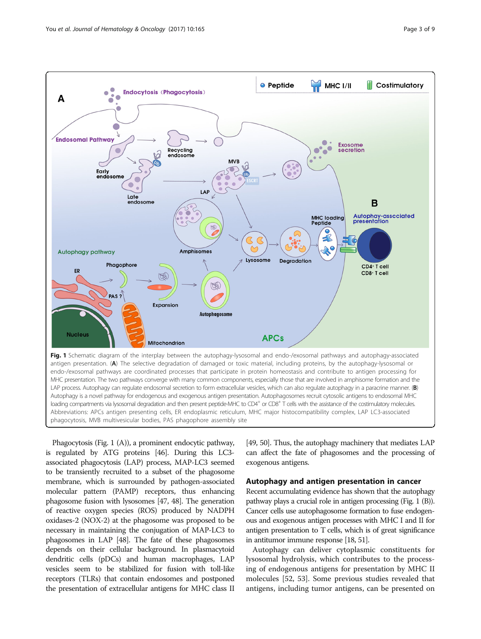<span id="page-2-0"></span>

Phagocytosis (Fig. 1 (A)), a prominent endocytic pathway, is regulated by ATG proteins [[46](#page-6-0)]. During this LC3 associated phagocytosis (LAP) process, MAP-LC3 seemed to be transiently recruited to a subset of the phagosome membrane, which is surrounded by pathogen-associated molecular pattern (PAMP) receptors, thus enhancing phagosome fusion with lysosomes [[47](#page-6-0), [48\]](#page-6-0). The generation of reactive oxygen species (ROS) produced by NADPH oxidases-2 (NOX-2) at the phagosome was proposed to be necessary in maintaining the conjugation of MAP-LC3 to phagosomes in LAP [\[48\]](#page-6-0). The fate of these phagosomes depends on their cellular background. In plasmacytoid dendritic cells (pDCs) and human macrophages, LAP vesicles seem to be stabilized for fusion with toll-like receptors (TLRs) that contain endosomes and postponed the presentation of extracellular antigens for MHC class II

[[49](#page-6-0), [50](#page-6-0)]. Thus, the autophagy machinery that mediates LAP can affect the fate of phagosomes and the processing of exogenous antigens.

# Autophagy and antigen presentation in cancer

Recent accumulating evidence has shown that the autophagy pathway plays a crucial role in antigen processing (Fig. 1 (B)). Cancer cells use autophagosome formation to fuse endogenous and exogenous antigen processes with MHC I and II for antigen presentation to T cells, which is of great significance in antitumor immune response [\[18](#page-6-0), [51\]](#page-6-0).

Autophagy can deliver cytoplasmic constituents for lysosomal hydrolysis, which contributes to the processing of endogenous antigens for presentation by MHC II molecules [[52](#page-6-0), [53](#page-6-0)]. Some previous studies revealed that antigens, including tumor antigens, can be presented on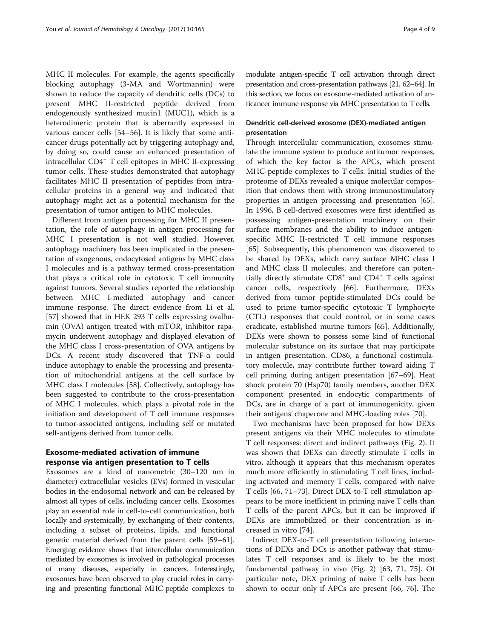MHC II molecules. For example, the agents specifically blocking autophagy (3-MA and Wortmannin) were shown to reduce the capacity of dendritic cells (DCs) to present MHC II-restricted peptide derived from endogenously synthesized mucin1 (MUC1), which is a heterodimeric protein that is aberrantly expressed in various cancer cells [\[54](#page-7-0)–[56\]](#page-7-0). It is likely that some anticancer drugs potentially act by triggering autophagy and, by doing so, could cause an enhanced presentation of intracellular CD4<sup>+</sup> T cell epitopes in MHC II-expressing tumor cells. These studies demonstrated that autophagy facilitates MHC II presentation of peptides from intracellular proteins in a general way and indicated that autophagy might act as a potential mechanism for the presentation of tumor antigen to MHC molecules.

Different from antigen processing for MHC II presentation, the role of autophagy in antigen processing for MHC I presentation is not well studied. However, autophagy machinery has been implicated in the presentation of exogenous, endocytosed antigens by MHC class I molecules and is a pathway termed cross-presentation that plays a critical role in cytotoxic T cell immunity against tumors. Several studies reported the relationship between MHC I-mediated autophagy and cancer immune response. The direct evidence from Li et al. [[57\]](#page-7-0) showed that in HEK 293 T cells expressing ovalbumin (OVA) antigen treated with mTOR, inhibitor rapamycin underwent autophagy and displayed elevation of the MHC class I cross-presentation of OVA antigens by DCs. A recent study discovered that TNF-α could induce autophagy to enable the processing and presentation of mitochondrial antigens at the cell surface by MHC class I molecules [[58\]](#page-7-0). Collectively, autophagy has been suggested to contribute to the cross-presentation of MHC I molecules, which plays a pivotal role in the initiation and development of T cell immune responses to tumor-associated antigens, including self or mutated self-antigens derived from tumor cells.

# Exosome-mediated activation of immune response via antigen presentation to T cells

Exosomes are a kind of nanometric (30–120 nm in diameter) extracellular vesicles (EVs) formed in vesicular bodies in the endosomal network and can be released by almost all types of cells, including cancer cells. Exosomes play an essential role in cell-to-cell communication, both locally and systemically, by exchanging of their contents, including a subset of proteins, lipids, and functional genetic material derived from the parent cells [[59](#page-7-0)–[61](#page-7-0)]. Emerging evidence shows that intercellular communication mediated by exosomes is involved in pathological processes of many diseases, especially in cancers. Interestingly, exosomes have been observed to play crucial roles in carrying and presenting functional MHC-peptide complexes to modulate antigen-specific T cell activation through direct presentation and cross-presentation pathways [\[21](#page-6-0), [62](#page-7-0)–[64\]](#page-7-0). In this section, we focus on exosome-mediated activation of anticancer immune response via MHC presentation to T cells.

# Dendritic cell-derived exosome (DEX)-mediated antigen presentation

Through intercellular communication, exosomes stimulate the immune system to produce antitumor responses, of which the key factor is the APCs, which present MHC-peptide complexes to T cells. Initial studies of the proteome of DEXs revealed a unique molecular composition that endows them with strong immunostimulatory properties in antigen processing and presentation [\[65](#page-7-0)]. In 1996, B cell-derived exosomes were first identified as possessing antigen-presentation machinery on their surface membranes and the ability to induce antigenspecific MHC II-restricted T cell immune responses [[65\]](#page-7-0). Subsequently, this phenomenon was discovered to be shared by DEXs, which carry surface MHC class I and MHC class II molecules, and therefore can potentially directly stimulate  $CDS<sup>+</sup>$  and  $CD4<sup>+</sup>$  T cells against cancer cells, respectively [\[66](#page-7-0)]. Furthermore, DEXs derived from tumor peptide-stimulated DCs could be used to prime tumor-specific cytotoxic T lymphocyte (CTL) responses that could control, or in some cases eradicate, established murine tumors [[65\]](#page-7-0). Additionally, DEXs were shown to possess some kind of functional molecular substance on its surface that may participate in antigen presentation. CD86, a functional costimulatory molecule, may contribute further toward aiding T cell priming during antigen presentation [[67](#page-7-0)–[69](#page-7-0)]. Heat shock protein 70 (Hsp70) family members, another DEX component presented in endocytic compartments of DCs, are in charge of a part of immunogenicity, given their antigens' chaperone and MHC-loading roles [\[70](#page-7-0)].

Two mechanisms have been proposed for how DEXs present antigens via their MHC molecules to stimulate T cell responses: direct and indirect pathways (Fig. [2](#page-4-0)). It was shown that DEXs can directly stimulate T cells in vitro, although it appears that this mechanism operates much more efficiently in stimulating T cell lines, including activated and memory T cells, compared with naive T cells [[66](#page-7-0), [71](#page-7-0)–[73](#page-7-0)]. Direct DEX-to-T cell stimulation appears to be more inefficient in priming naive T cells than T cells of the parent APCs, but it can be improved if DEXs are immobilized or their concentration is increased in vitro [\[74\]](#page-7-0).

Indirect DEX-to-T cell presentation following interactions of DEXs and DCs is another pathway that stimulates T cell responses and is likely to be the most fundamental pathway in vivo (Fig. [2](#page-4-0)) [[63, 71, 75\]](#page-7-0). Of particular note, DEX priming of naive T cells has been shown to occur only if APCs are present [\[66, 76\]](#page-7-0). The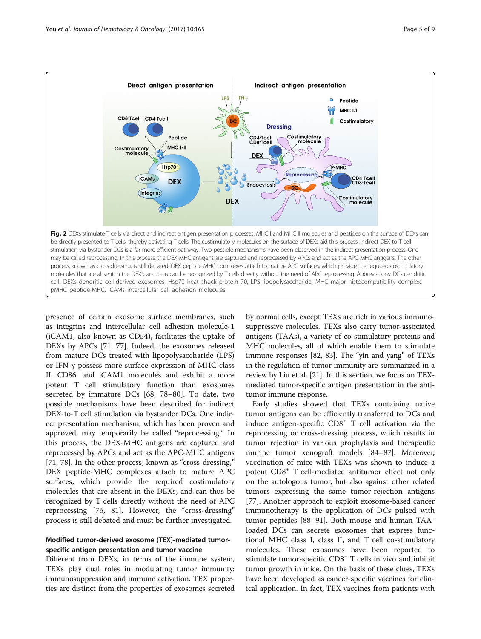<span id="page-4-0"></span>

presence of certain exosome surface membranes, such as integrins and intercellular cell adhesion molecule-1 (iCAM1, also known as CD54), facilitates the uptake of DEXs by APCs [[71, 77\]](#page-7-0). Indeed, the exosomes released from mature DCs treated with lipopolysaccharide (LPS) or IFN-γ possess more surface expression of MHC class II, CD86, and iCAM1 molecules and exhibit a more potent T cell stimulatory function than exosomes secreted by immature DCs [\[68, 78](#page-7-0)–[80\]](#page-7-0). To date, two possible mechanisms have been described for indirect DEX-to-T cell stimulation via bystander DCs. One indirect presentation mechanism, which has been proven and approved, may temporarily be called "reprocessing." In this process, the DEX-MHC antigens are captured and reprocessed by APCs and act as the APC-MHC antigens [[71, 78\]](#page-7-0). In the other process, known as "cross-dressing," DEX peptide-MHC complexes attach to mature APC surfaces, which provide the required costimulatory molecules that are absent in the DEXs, and can thus be recognized by T cells directly without the need of APC reprocessing [\[76](#page-7-0), [81](#page-7-0)]. However, the "cross-dressing" process is still debated and must be further investigated.

# Modified tumor-derived exosome (TEX)-mediated tumorspecific antigen presentation and tumor vaccine

Different from DEXs, in terms of the immune system, TEXs play dual roles in modulating tumor immunity: immunosuppression and immune activation. TEX properties are distinct from the properties of exosomes secreted by normal cells, except TEXs are rich in various immunosuppressive molecules. TEXs also carry tumor-associated antigens (TAAs), a variety of co-stimulatory proteins and MHC molecules, all of which enable them to stimulate immune responses [[82](#page-7-0), [83\]](#page-7-0). The "yin and yang" of TEXs in the regulation of tumor immunity are summarized in a review by Liu et al. [\[21](#page-6-0)]. In this section, we focus on TEXmediated tumor-specific antigen presentation in the antitumor immune response.

Early studies showed that TEXs containing native tumor antigens can be efficiently transferred to DCs and induce antigen-specific  $CD8<sup>+</sup>$  T cell activation via the reprocessing or cross-dressing process, which results in tumor rejection in various prophylaxis and therapeutic murine tumor xenograft models [\[84](#page-7-0)–[87\]](#page-7-0). Moreover, vaccination of mice with TEXs was shown to induce a potent CD8<sup>+</sup> T cell-mediated antitumor effect not only on the autologous tumor, but also against other related tumors expressing the same tumor-rejection antigens [[77\]](#page-7-0). Another approach to exploit exosome-based cancer immunotherapy is the application of DCs pulsed with tumor peptides [\[88](#page-7-0)–[91\]](#page-7-0). Both mouse and human TAAloaded DCs can secrete exosomes that express functional MHC class I, class II, and T cell co-stimulatory molecules. These exosomes have been reported to stimulate tumor-specific CD8<sup>+</sup> T cells in vivo and inhibit tumor growth in mice. On the basis of these clues, TEXs have been developed as cancer-specific vaccines for clinical application. In fact, TEX vaccines from patients with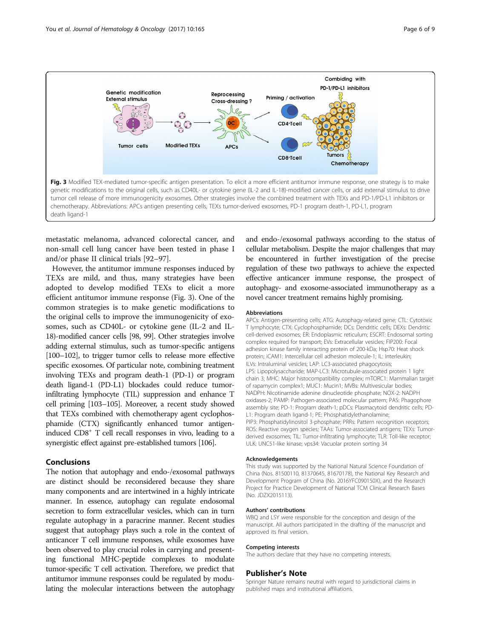

metastatic melanoma, advanced colorectal cancer, and non-small cell lung cancer have been tested in phase I and/or phase II clinical trials [[92](#page-7-0)–[97](#page-7-0)].

However, the antitumor immune responses induced by TEXs are mild, and thus, many strategies have been adopted to develop modified TEXs to elicit a more efficient antitumor immune response (Fig. 3). One of the common strategies is to make genetic modifications to the original cells to improve the immunogenicity of exosomes, such as CD40L- or cytokine gene (IL-2 and IL-18)-modified cancer cells [\[98, 99\]](#page-7-0). Other strategies involve adding external stimulus, such as tumor-specific antigens [[100](#page-7-0)–[102\]](#page-7-0), to trigger tumor cells to release more effective specific exosomes. Of particular note, combining treatment involving TEXs and program death-1 (PD-1) or program death ligand-1 (PD-L1) blockades could reduce tumorinfiltrating lymphocyte (TIL) suppression and enhance T cell priming [\[103](#page-8-0)–[105](#page-8-0)]. Moreover, a recent study showed that TEXs combined with chemotherapy agent cyclophosphamide (CTX) significantly enhanced tumor antigeninduced CD8+ T cell recall responses in vivo, leading to a synergistic effect against pre-established tumors [[106\]](#page-8-0).

# Conclusions

The notion that autophagy and endo-/exosomal pathways are distinct should be reconsidered because they share many components and are intertwined in a highly intricate manner. In essence, autophagy can regulate endosomal secretion to form extracellular vesicles, which can in turn regulate autophagy in a paracrine manner. Recent studies suggest that autophagy plays such a role in the context of anticancer T cell immune responses, while exosomes have been observed to play crucial roles in carrying and presenting functional MHC-peptide complexes to modulate tumor-specific T cell activation. Therefore, we predict that antitumor immune responses could be regulated by modulating the molecular interactions between the autophagy

and endo-/exosomal pathways according to the status of cellular metabolism. Despite the major challenges that may be encountered in further investigation of the precise regulation of these two pathways to achieve the expected effective anticancer immune response, the prospect of autophagy- and exosome-associated immunotherapy as a novel cancer treatment remains highly promising.

#### Abbreviations

APCs: Antigen-presenting cells; ATG: Autophagy-related gene; CTL: Cytotoxic T lymphocyte; CTX: Cyclophosphamide; DCs: Dendritic cells; DEXs: Dendritic cell-derived exosomes; ER: Endoplasmic reticulum; ESCRT: Endosomal sorting complex required for transport; EVs: Extracellular vesicles; FIP200: Focal adhesion kinase family interacting protein of 200-kDa; Hsp70: Heat shock protein; iCAM1: Intercellular cell adhesion molecule-1; IL: Interleukin; ILVs: Intraluminal vesicles; LAP: LC3-associated phagocytosis; LPS: Lipopolysaccharide; MAP-LC3: Microtubule-associated protein 1 light chain 3; MHC: Major histocompatibility complex; mTORC1: Mammalian target of rapamycin complex1; MUC1: Mucin1; MVBs: Multivesicular bodies; NADPH: Nicotinamide adenine dinucleotide phosphate; NOX-2: NADPH oxidases-2; PAMP: Pathogen-associated molecular pattern; PAS: Phagophore assembly site; PD-1: Program death-1; pDCs: Plasmacytoid dendritic cells; PD-L1: Program death ligand-1; PE: Phosphatidylethanolamine; PIP3: Phosphatidylinositol 3-phosphate; PRRs: Pattern recognition receptors; ROS: Reactive oxygen species; TAAs: Tumor-associated antigens; TEXs: Tumorderived exosomes; TIL: Tumor-infiltrating lymphocyte; TLR: Toll-like receptor; ULK: UNC51-like kinase; vps34: Vacuolar protein sorting 34

#### Acknowledgements

This study was supported by the National Natural Science Foundation of China (Nos. 81500110, 81370645, 81670178), the National Key Research and Development Program of China (No. 2016YFC090150X), and the Research Project for Practice Development of National TCM Clinical Research Bases (No. JDZX2015113).

#### Authors' contributions

WBQ and LSY were responsible for the conception and design of the manuscript. All authors participated in the drafting of the manuscript and approved its final version.

#### Competing interests

The authors declare that they have no competing interests.

#### Publisher's Note

Springer Nature remains neutral with regard to jurisdictional claims in published maps and institutional affiliations.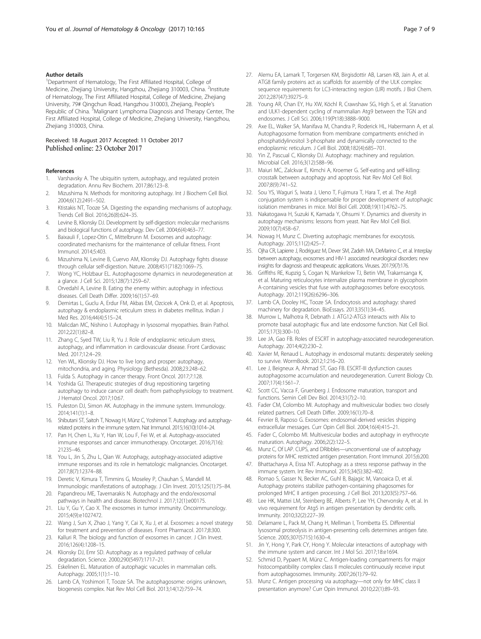### <span id="page-6-0"></span>Author details

<sup>1</sup>Department of Hematology, The First Affiliated Hospital, College of Medicine, Zhejiang University, Hangzhou, Zhejiang 310003, China. <sup>2</sup>Institute of Hematology, The First Affiliated Hospital, College of Medicine, Zhejiang University, 79# Qingchun Road, Hangzhou 310003, Zhejiang, People's Republic of China. <sup>3</sup>Malignant Lymphoma Diagnosis and Therapy Center, The First Affiliated Hospital, College of Medicine, Zhejiang University, Hangzhou, Zhejiang 310003, China.

### Received: 18 August 2017 Accepted: 11 October 2017 Published online: 23 October 2017

#### References

- Varshavsky A. The ubiquitin system, autophagy, and regulated protein degradation. Annu Rev Biochem. 2017;86:123–8.
- 2. Mizushima N. Methods for monitoring autophagy. Int J Biochem Cell Biol. 2004;6(12):2491–502.
- 3. Ktistakis NT, Tooze SA. Digesting the expanding mechanisms of autophagy. Trends Cell Biol. 2016;26(8):624–35.
- 4. Levine B, Klionsky DJ. Development by self-digestion: molecular mechanisms and biological functions of autophagy. Dev Cell. 2004;6(4):463–77.
- 5. Baixauli F, Lopez-Otin C, Mittelbrunn M. Exosomes and autophagy: coordinated mechanisms for the maintenance of cellular fitness. Front Immunol. 2014;5:403.
- Mizushima N, Levine B, Cuervo AM, Klionsky DJ. Autophagy fights disease through cellular self-digestion. Nature. 2008;451(7182):1069–75.
- 7. Wong YC, Holzbaur EL. Autophagosome dynamics in neurodegeneration at a glance. J Cell Sci. 2015;128(7):1259–67.
- 8. Orvedahl A, Levine B. Eating the enemy within: autophagy in infectious diseases. Cell Death Differ. 2009;16(1):57–69.
- 9. Demirtas L, Guclu A, Erdur FM, Akbas EM, Ozcicek A, Onk D, et al. Apoptosis, autophagy & endoplasmic reticulum stress in diabetes mellitus. Indian J Med Res. 2016;44(4):515–24.
- 10. Malicdan MC, Nishino I. Autophagy in lysosomal myopathies. Brain Pathol. 2012;22(1):82–8.
- 11. Zhang C, Syed TW, Liu R, Yu J. Role of endoplasmic reticulum stress, autophagy, and inflammation in cardiovascular disease. Front Cardiovasc Med. 2017;12:4–29.
- 12. Yen WL, Klionsky DJ. How to live long and prosper: autophagy, mitochondria, and aging. Physiology (Bethesda). 2008;23:248–62.
- 13. Fulda S. Autophagy in cancer therapy. Front Oncol. 2017;7:128.
- 14. Yoshida GJ. Therapeutic strategies of drug repositioning targeting autophagy to induce cancer cell death: from pathophysiology to treatment. J Hematol Oncol. 2017;10:67.
- 15. Puleston DJ, Simon AK. Autophagy in the immune system. Immunology. 2014;141(1):1–8.
- 16. Shibutani ST, Saitoh T, Nowag H, Münz C, Yoshimori T. Autophagy and autophagyrelated proteins in the immune system. Nat Immunol. 2015;16(10):1014–24.
- 17. Pan H, Chen L, Xu Y, Han W, Lou F, Fei W, et al. Autophagy-associated immune responses and cancer immunotherapy. Oncotarget. 2016;7(16): 21235–46.
- 18. You L, Jin S, Zhu L, Qian W. Autophagy, autophagy-associated adaptive immune responses and its role in hematologic malignancies. Oncotarget. 2017;8(7):12374–88.
- 19. Deretic V, Kimura T, Timmins G, Moseley P, Chauhan S, Mandell M. Immunologic manifestations of autophagy. J Clin Invest. 2015;125(1):75–84.
- 20. Papandreou ME, Tavernarakis N. Autophagy and the endo/exosomal pathways in health and disease. Biotechnol J. 2017;12(1):e00175.
- 21. Liu Y, Gu Y, Cao X. The exosomes in tumor immunity. Oncoimmunology. 2015;4(9):e1027472.
- 22. Wang J, Sun X, Zhao J, Yang Y, Cai X, Xu J, et al. Exosomes: a novel strategy for treatment and prevention of diseases. Front Pharmacol. 2017;8:300.
- 23. Kalluri R. The biology and function of exosomes in cancer. J Clin Invest. 2016;126(4):1208–15.
- 24. Klionsky DJ, Emr SD. Autophagy as a regulated pathway of cellular degradation. Science. 2000;290(5497):1717–21.
- 25. Eskelinen EL. Maturation of autophagic vacuoles in mammalian cells. Autophagy. 2005;1(1):1–10.
- 26. Lamb CA, Yoshimori T, Tooze SA. The autophagosome: origins unknown, biogenesis complex. Nat Rev Mol Cell Biol. 2013;14(12):759–74.
- 27. Alemu EA, Lamark T, Torgersen KM, Birgisdottir AB, Larsen KB, Jain A, et al. ATG8 family proteins act as scaffolds for assembly of the ULK complex: sequence requirements for LC3-interacting region (LIR) motifs. J Biol Chem. 2012;287(47):39275–9.
- 28. Young AR, Chan EY, Hu XW, Köchl R, Crawshaw SG, High S, et al. Starvation and ULK1-dependent cycling of mammalian Atg9 between the TGN and endosomes. J Cell Sci. 2006;119(Pt18):3888–9000.
- 29. Axe EL, Walker SA, Manifava M, Chandra P, Roderick HL, Habermann A, et al. Autophagosome formation from membrane compartments enriched in phosphatidylinositol 3-phosphate and dynamically connected to the endoplasmic reticulum. J Cell Biol. 2008;182(4):685–701.
- 30. Yin Z, Pascual C, Klionsky DJ. Autophagy: machinery and regulation. Microbial Cell. 2016;3(12):588–96.
- 31. Maiuri MC, Zalckvar E, Kimchi A, Kroemer G. Self-eating and self-killing: crosstalk between autophagy and apoptosis. Nat Rev Mol Cell Biol. 2007;8(9):741–52.
- 32. Sou YS, Waguri S, Iwata J, Ueno T, Fujimura T, Hara T, et al. The Atg8 conjugation system is indispensable for proper development of autophagic isolation membranes in mice. Mol Biol Cell. 2008;19(11):4762–75.
- 33. Nakatogawa H, Suzuki K, Kamada Y, Ohsumi Y. Dynamics and diversity in autophagy mechanisms: lessons from yeast. Nat Rev Mol Cell Biol. 2009;10(7):458–67.
- 34. Nowag H, Munz C. Diverting autophagic membranes for exocytosis. Autophagy. 2015;11(2):425–7.
- 35. Ojha CR, Lapierre J, Rodriguez M, Dever SM, Zadeh MA, DeMarino C, et al. Interplay between autophagy, exosomes and HIV-1 associated neurological disorders: new insights for diagnosis and therapeutic applications. Viruses. 2017;9(7):176.
- 36. Griffiths RE, Kupzig S, Cogan N, Mankelow TJ, Betin VM, Trakarnsanga K, et al. Maturing reticulocytes internalize plasma membrane in glycophorin A-containing vesicles that fuse with autophagosomes before exocytosis. Autophagy. 2012;119(26):6296–306.
- 37. Lamb CA, Dooley HC, Tooze SA. Endocytosis and autophagy: shared machinery for degradation. BioEssays. 2013;35(1):34–45.
- 38. Murrow L, Malhotra R, Debnath J. ATG12-ATG3 interacts with Alix to promote basal autophagic flux and late endosome function. Nat Cell Biol. 2015;17(3):300–10.
- 39. Lee JA, Gao FB. Roles of ESCRT in autophagy-associated neurodegeneration. Autophagy. 2014;4(2):230–2.
- 40. Xavier M, Renaud L. Autophagy in endosomal mutants: desperately seeking to survive. WormBook. 2012;1:216–20.
- 41. Lee J, Beigneux A, Ahmad ST, Gao FB. ESCRT-III dysfunction causes autophagosome accumulation and neurodegeneration. Current Biology Cb. 2007;17(4):1561–7.
- 42. Scott CC, Vacca F, Gruenberg J. Endosome maturation, transport and functions. Semin Cell Dev Biol. 2014;31(7):2–10.
- 43. Fader CM, Colombo MI. Autophagy and multivesicular bodies: two closely related partners. Cell Death Differ. 2009;16(1):70–8.
- 44. Fevrier B, Raposo G. Exosomes: endosomal-derived vesicles shipping extracellular messages. Curr Opin Cell Biol. 2004;16(4):415–21.
- 45. Fader C, Colombo MI. Multivesicular bodies and autophagy in erythrocyte maturation. Autophagy. 2006;2(2):122–5.
- 46. Munz C, Of LAP. CUPS, and DRibbles—unconventional use of autophagy proteins for MHC restricted antigen presentation. Front Immunol. 2015;6:200.
- 47. Bhattacharya A, Eissa NT. Autophagy as a stress response pathway in the immune system. Int Rev Immunol. 2015;34(5):382–402.
- 48. Romao S, Gasser N, Becker AC, Guhl B, Bajagic M, Vanoaica D, et al. Autophagy proteins stabilize pathogen-containing phagosomes for prolonged MHC II antigen processing. J Cell Biol. 2013;203(5):757–66.
- 49. Lee HK, Mattei LM, Steinberg BE, Alberts P, Lee YH, Chervonsky A, et al. In vivo requirement for Atg5 in antigen presentation by dendritic cells. Immunity. 2010;32(2):227–39.
- 50. Delamarre L, Pack M, Chang H, Mellman I, Trombetta ES. Differential lysosomal proteolysis in antigen-presenting cells determines antigen fate. Science. 2005;307(5715):1630–4.
- 51. Jin Y, Hong Y, Park CY, Hong Y. Molecular interactions of autophagy with the immune system and cancer. Int J Mol Sci. 2017;18:e1694.
- 52. Schmid D, Pypaert M, Münz C. Antigen-loading compartments for major histocompatibility complex class II molecules continuously receive input from autophagosomes. Immunity. 2007;26(1):79–92.
- 53. Munz C. Antigen processing via autophagy—not only for MHC class II presentation anymore? Curr Opin Immunol. 2010;22(1):89–93.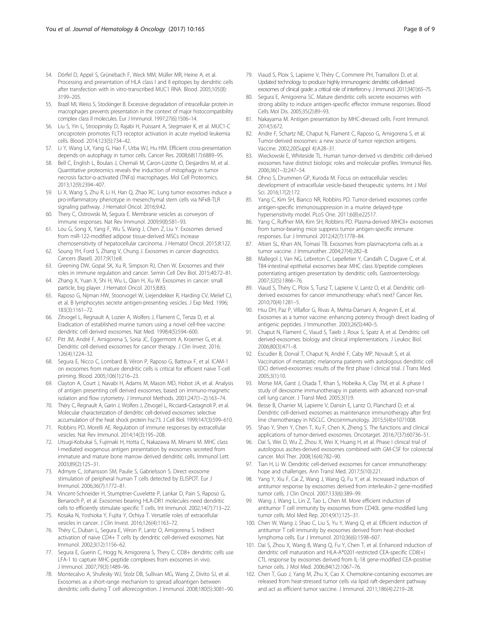- <span id="page-7-0"></span>54. Dörfel D, Appel S, Grünebach F, Weck MM, Müller MR, Heine A, et al. Processing and presentation of HLA class I and II epitopes by dendritic cells after transfection with in vitro-transcribed MUC1 RNA. Blood. 2005;105(8): 3199–205.
- 55. Brazil MI, Weiss S, Stockinger B. Excessive degradation of intracellular protein in macrophages prevents presentation in the context of major histocompatibility complex class II molecules. Eur J Immunol. 1997;27(6):1506–14.
- 56. Liu S, Yin L, Stroopinsky D, Rajabi H, Puissant A, Stegmaier K, et al. MUC1-C oncoprotein promotes FLT3 receptor activation in acute myeloid leukemia cells. Blood. 2014;123(5):734–42.
- 57. Li Y, Wang LX, Yang G, Hao F, Urba WJ, Hu HM. Efficient cross-presentation depends on autophagy in tumor cells. Cancer Res. 2008;68(17):6889–95.
- 58. Bell C, English L, Boulais J, Chemali M, Caron-Lizotte O, Desjardins M, et al. Quantitative proteomics reveals the induction of mitophagy in tumor necrosis factor-α-activated (TNFα) macrophages. Mol Cell Proteomics. 2013;12(9):2394–407.
- 59. Li X, Wang S, Zhu R, Li H, Han Q, Zhao RC. Lung tumor exosomes induce a pro-inflammatory phenotype in mesenchymal stem cells via NFκB-TLR signaling pathway. J Hematol Oncol. 2016;9:42.
- 60. Thery C, Ostrowski M, Segura E. Membrane vesicles as conveyors of immune responses. Nat Rev Immunol. 2009;9(8):581–93.
- 61. Lou G, Song X, Yang F, Wu S, Wang J, Chen Z, Liu Y. Exosomes derived from miR-122-modified adipose tissue-derived MSCs increase chemosensitivity of hepatocellular carcinoma. J Hematol Oncol. 2015;8:122.
- Soung YH, Ford S, Zhang V, Chung J. Exosomes in cancer diagnostics. Cancers (Basel). 2017;9(1):e8.
- 63. Greening DW, Gopal SK, Xu R, Simpson RJ, Chen W. Exosomes and their roles in immune regulation and cancer. Semin Cell Dev Biol. 2015;40:72–81.
- 64. Zhang X, Yuan X, Shi H, Wu L, Qian H, Xu W. Exosomes in cancer: small particle, big player. J Hematol Oncol. 2015;8:83.
- 65. Raposo G, Nijman HW, Stoorvogel W, Liejendekker R, Harding CV, Melief CJ, et al. B lymphocytes secrete antigen-presenting vesicles. J Exp Med. 1996; 183(3):1161–72.
- 66. Zitvogel L, Regnault A, Lozier A, Wolfers J, Flament C, Tenza D, et al. Eradication of established murine tumors using a novel cell-free vaccine: dendritic cell derived exosomes. Nat Med. 1998;4(5):594–600.
- 67. Pitt JM, André F, Amigorena S, Soria JC, Eggermont A, Kroemer G, et al. Dendritic cell-derived exosomes for cancer therapy. J Clin Invest. 2016; 126(4):1224–32.
- 68. Segura E, Nicco C, Lombard B, Véron P, Raposo G, Batteux F, et al. ICAM-1 on exosomes from mature dendritic cells is critical for efficient naive T-cell priming. Blood. 2005;106(1):216–23.
- 69. Clayton A, Court J, Navabi H, Adams M, Mason MD, Hobot JA, et al. Analysis of antigen presenting cell derived exosomes, based on immuno-magnetic isolation and flow cytometry. J Immunol Methods. 2001;247(1–2):163–74.
- 70. Théry C, Regnault A, Garin J, Wolfers J, Zitvogel L, Ricciardi-Castagnoli P, et al. Molecular characterization of dendritic cell-derived exosomes: selective accumulation of the heat shock protein hsc73. J Cell Biol. 1999;147(3):599–610.
- 71. Robbins PD, Morelli AE. Regulation of immune responses by extracellular vesicles. Nat Rev Immunol. 2014;14(3):195–208.
- 72. Utsugi-Kobukai S, Fujimaki H, Hotta C, Nakazawa M, Minami M. MHC class I-mediated exogenous antigen presentation by exosomes secreted from immature and mature bone marrow derived dendritic cells. Immunol Lett. 2003;89(2):125–31.
- 73. Admyre C, Johansson SM, Paulie S, Gabrielsson S. Direct exosome stimulation of peripheral human T cells detected by ELISPOT. Eur J Immunol. 2006;36(7):1772–81.
- 74. Vincent-Schneider H, Stumptner-Cuvelette P, Lankar D, Pain S, Raposo G, Benaroch P, et al. Exosomes bearing HLA-DR1 molecules need dendritic cells to efficiently stimulate specific T cells. Int Immunol. 2002;14(7):713–22.
- 75. Kosaka N, Yoshioka Y, Fujita Y, Ochiya T. Versatile roles of extracellular vesicles in cancer. J Clin Invest. 2016;126(4):1163–72.
- 76. Théry C, Duban L, Segura E, Véron P, Lantz O, Amigorena S. Indirect activation of naive CD4+ T cells by dendritic cell-derived exosomes. Nat Immunol. 2002;3(12):1156–62.
- 77. Segura E, Guerin C, Hogg N, Amigorena S, Thery C. CD8+ dendritic cells use LFA-1 to capture MHC-peptide complexes from exosomes in vivo. J Immunol. 2007;79(3):1489–96.
- 78. Montecalvo A, Shufesky WJ, Stolz DB, Sullivan MG, Wang Z, Divito SJ, et al. Exosomes as a short-range mechanism to spread alloantigen between dendritic cells during T cell allorecognition. J Immunol. 2008;180(5):3081–90.
- 79. Viaud S, Ploix S, Lapierre V, Théry C, Commere PH, Tramalloni D, et al. Updated technology to produce highly immunogenic dendritic cell-derived exosomes of clinical grade: a critical role of interferon-γ. J Immunol. 2011;34(1):65–75.
- 80. Segura E, Amigorena SC. Mature dendritic cells secrete exosomes with strong ability to induce antigen-specific effector immune responses. Blood Cells Mol Dis. 2005;35(2):89–93.
- 81. Nakayama M. Antigen presentation by MHC-dressed cells. Front Immunol. 2014;5:672.
- 82. Andre F, Schartz NE, Chaput N, Flament C, Raposo G, Amigorena S, et al. Tumor-derived exosomes: a new source of tumor rejection antigens. Vaccine. 2002;20(Suppl 4):A28–31.
- 83. Wieckowski E, Whiteside TL. Human tumor-derived vs dendritic cell-derived exosomes have distinct biologic roles and molecular profiles. Immunol Res. 2006;36(1–3):247–54.
- 84. Ohno S, Drummen GP, Kuroda M. Focus on extracellular vesicles: development of extracellular vesicle-based therapeutic systems. Int J Mol Sci. 2016;17(2):172.
- 85. Yang C, Kim SH, Bianco NR, Robbins PD. Tumor-derived exosomes confer antigen-specific immunosuppression in a murine delayed-type hypersensitivity model. PLoS One. 2011;6(8):e22517.
- 86. Yang C, Ruffner MA, Kim SH, Robbins PD. Plasma-derived MHCII+ exosomes from tumor-bearing mice suppress tumor antigen-specific immune responses. Eur J Immunol. 2012;42(7):1778–84.
- 87. Altieri SL, Khan AN, Tomasi TB. Exosomes from plasmacytoma cells as a tumor vaccine. J Immunother. 2004;27(4):282–8.
- 88. Mallegol J, Van NG, Lebreton C, Lepelletier Y, Candalh C, Dugave C, et al. T84-intestinal epithelial exosomes bear MHC class II/peptide complexes potentiating antigen presentation by dendritic cells. Gastroenterology. 2007;32(5):1866–76.
- 89. Viaud S, Théry C, Ploix S, Tursz T, Lapierre V, Lantz O, et al. Dendritic cellderived exosomes for cancer immunotherapy: what's next? Cancer Res. 2010;70(4):1281–5.
- 90. Hsu DH, Paz P, Villaflor G, Rivas A, Mehta-Damani A, Angevin E, et al. Exosomes as a tumor vaccine: enhancing potency through direct loading of antigenic peptides. J Immunother. 2003;26(5):440–5.
- 91. Chaput N, Flament C, Viaud S, Taieb J, Roux S, Spatz A, et al. Dendritic cell derived-exosomes: biology and clinical implementations. J Leukoc Biol. 2006;80(3):471–8.
- 92. Escudier B, Dorval T, Chaput N, André F, Caby MP, Novault S, et al. Vaccination of metastatic melanoma patients with autologous dendritic cell (DC) derived-exosomes: results of the first phase I clinical trial. J Trans Med. 2005;3(1):10.
- 93. Morse MA, Garst J, Osada T, Khan S, Hobeika A, Clay TM, et al. A phase I study of dexosome immunotherapy in patients with advanced non-small cell lung cancer. J Transl Med. 2005;3(1):9.
- 94. Besse B, Charrier M, Lapierre V, Dansin E, Lantz O, Planchard D, et al. Dendritic cell-derived exosomes as maintenance immunotherapy after first line chemotherapy in NSCLC. Oncoimmunology. 2015;5(4):e1071008.
- 95. Shao Y, Shen Y, Chen T, Xu F, Chen X, Zheng S. The functions and clinical applications of tumor-derived exosomes. Oncotarget. 2016;7(37):60736–51.
- 96. Dai S, Wei D, Wu Z, Zhou X, Wei X, Huang H, et al. Phase I clinical trial of autologous ascites-derived exosomes combined with GM-CSF for colorectal cancer. Mol Ther. 2008;16(4):782–90.
- Tian H, Li W. Dendritic cell-derived exosomes for cancer immunotherapy: hope and challenges. Ann Transl Med. 2017;5(10):221.
- 98. Yang Y, Xiu F, Cai Z, Wang J, Wang Q, Fu Y, et al. Increased induction of antitumor response by exosomes derived from interleukin-2 gene-modified tumor cells. J Clin Oncol. 2007;133(6):389–99.
- 99. Wang J, Wang L, Lin Z, Tao L, Chen M. More efficient induction of antitumor T cell immunity by exosomes from CD40L gene-modified lung tumor cells. Mol Med Rep. 2014;9(1):125–31.
- 100. Chen W, Wang J, Shao C, Liu S, Yu Y, Wang Q, et al. Efficient induction of antitumor T cell immunity by exosomes derived from heat-shocked lymphoma cells. Eur J Immunol. 2010;36(6):1598–607.
- 101. Dai S, Zhou X, Wang B, Wang Q, Fu Y, Chen T, et al. Enhanced induction of dendritic cell maturation and HLA-A\*0201-restricted CEA-specific CD8(+) CTL response by exosomes derived from IL-18 gene-modified CEA-positive tumor cells. J Mol Med. 2006;84(12):1067–76.
- 102. Chen T, Guo J, Yang M, Zhu X, Cao X. Chemokine-containing exosomes are released from heat-stressed tumor cells via lipid raft-dependent pathway and act as efficient tumor vaccine. J Immunol. 2011;186(4):2219–28.